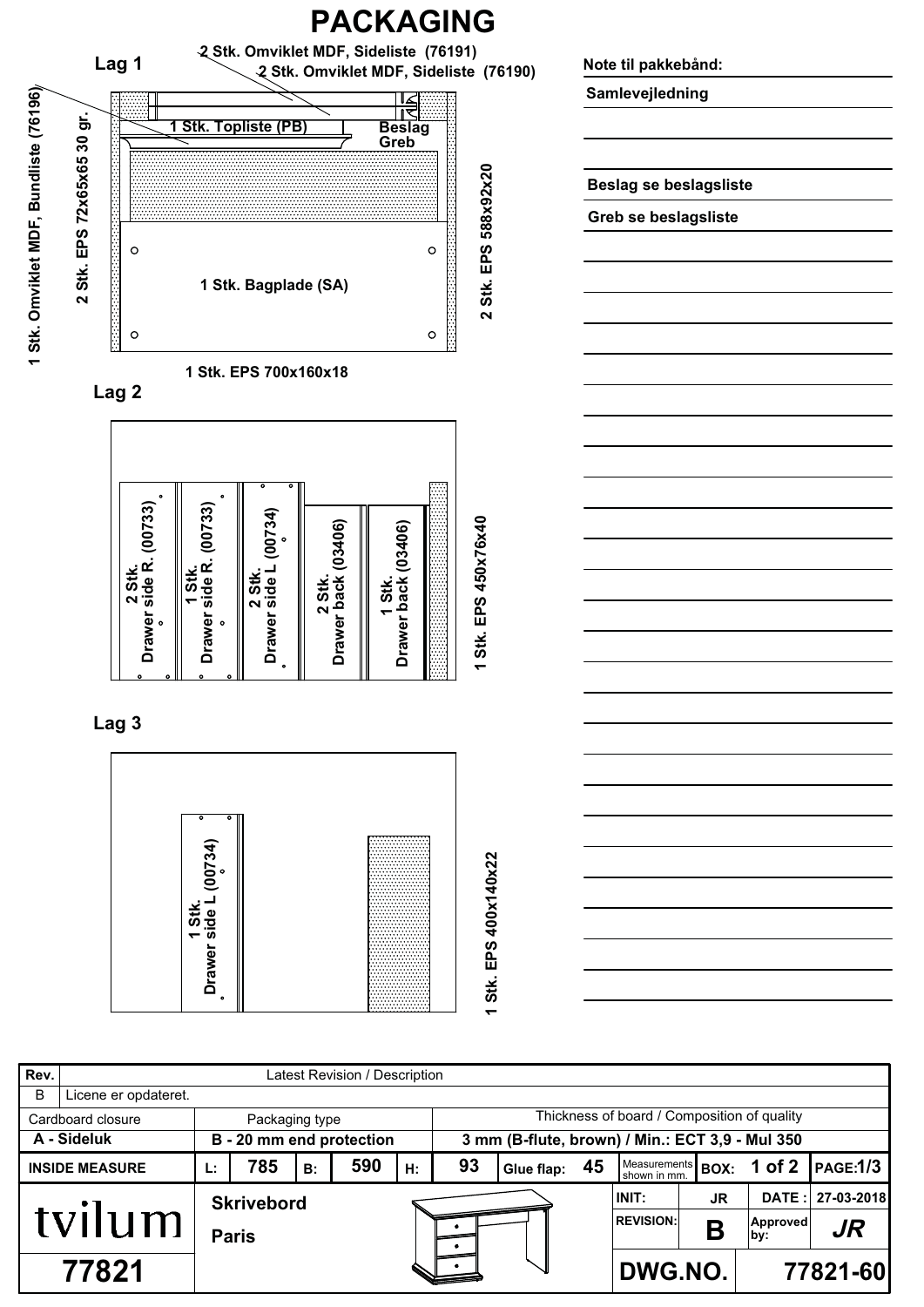

| Rev.                                | Latest Revision / Description |              |                          |    |     |    |                                                 |               |  |                                   |    |                 |            |  |
|-------------------------------------|-------------------------------|--------------|--------------------------|----|-----|----|-------------------------------------------------|---------------|--|-----------------------------------|----|-----------------|------------|--|
| B                                   | Licene er opdateret.          |              |                          |    |     |    |                                                 |               |  |                                   |    |                 |            |  |
| Cardboard closure<br>Packaging type |                               |              |                          |    |     |    | Thickness of board / Composition of quality     |               |  |                                   |    |                 |            |  |
|                                     | A - Sideluk                   |              | B - 20 mm end protection |    |     |    | 3 mm (B-flute, brown) / Min.: ECT 3,9 - Mul 350 |               |  |                                   |    |                 |            |  |
|                                     | <b>INSIDE MEASURE</b>         | Ŀ.           | 785                      | B: | 590 | Н. | 93                                              | Glue flap: 45 |  | Measurements BOX:<br>shown in mm. |    | 1 of 2          | PAGE:1/3   |  |
| tvilum                              |                               |              | <b>Skrivebord</b>        |    |     |    |                                                 |               |  | INIT:                             | JR | DATE:           | 27-03-2018 |  |
|                                     |                               | <b>Paris</b> |                          |    |     |    |                                                 |               |  | <b>REVISION:</b>                  | n  | Approved<br>by: | JR.        |  |
| 77821                               |                               |              |                          |    |     |    |                                                 |               |  | DWG.NO.                           |    |                 | 77821-60   |  |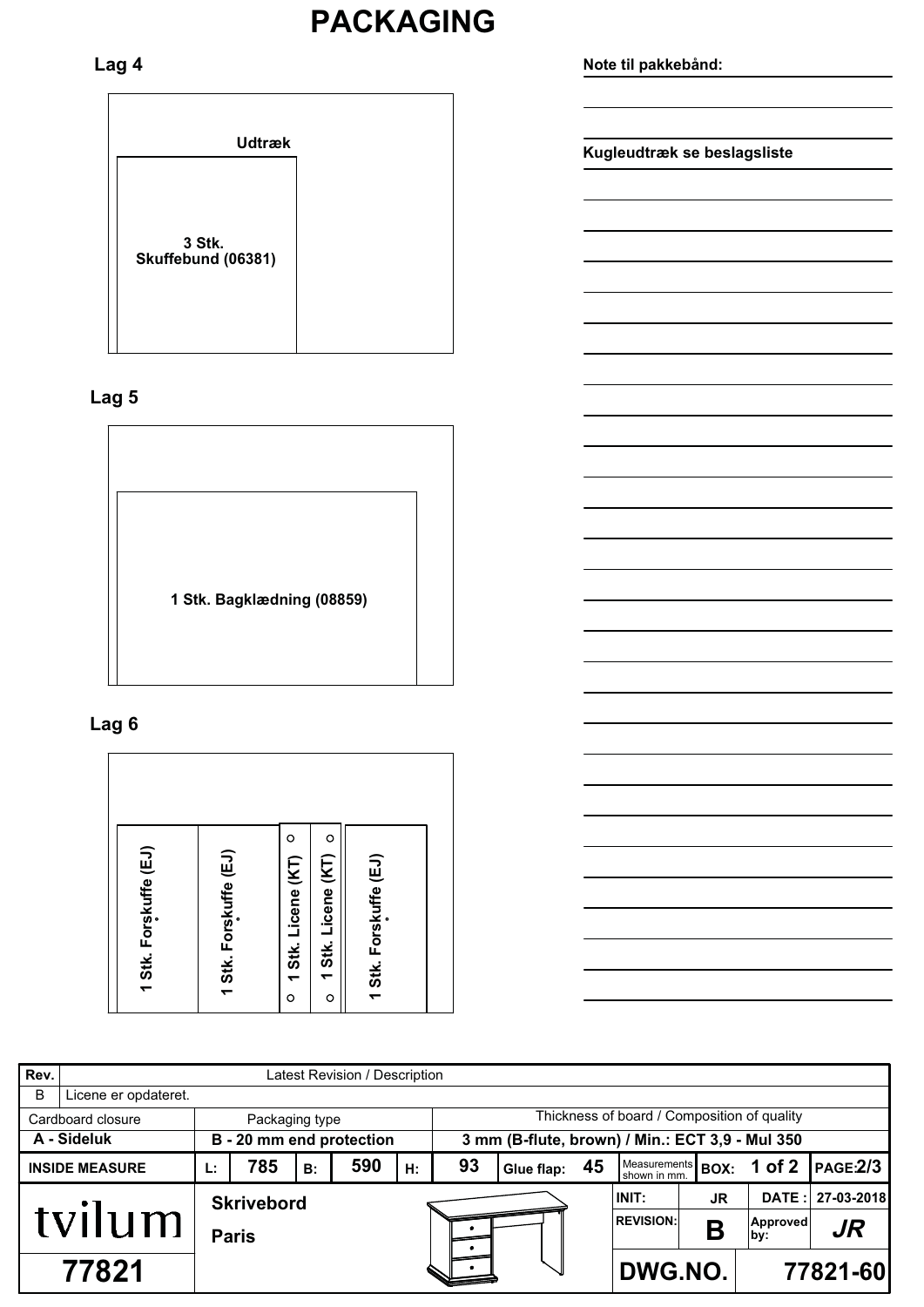### **PACKAGING**

### Lag 4

### Lag<sub>5</sub>



### Lag 6

Rev. Latest Revision / Description  $\overline{B}$ Licene er opdateret. Thickness of board / Composition of quality Cardboard closure Packaging type A - Sideluk 3 mm (B-flute, brown) / Min.: ECT 3,9 - Mul 350 B - 20 mm end protection Measurements<br>shown in mm. 93  $1$  of  $2$ **INSIDE MEASURE** 785 590 45 **PAGE:2/3** L:  $B:$  $H:$ Glue flap: **BOX:** 27-03-2018 INIT: DATE: JR **Skrivebord** tvilum **REVISION:** Approved<br>by:  $J<sub>R</sub>$ B **Paris**  $\bullet$ 77821 DWG.NO. 77821-60 .

Note til pakkebånd:

Kugleudtræk se beslagsliste

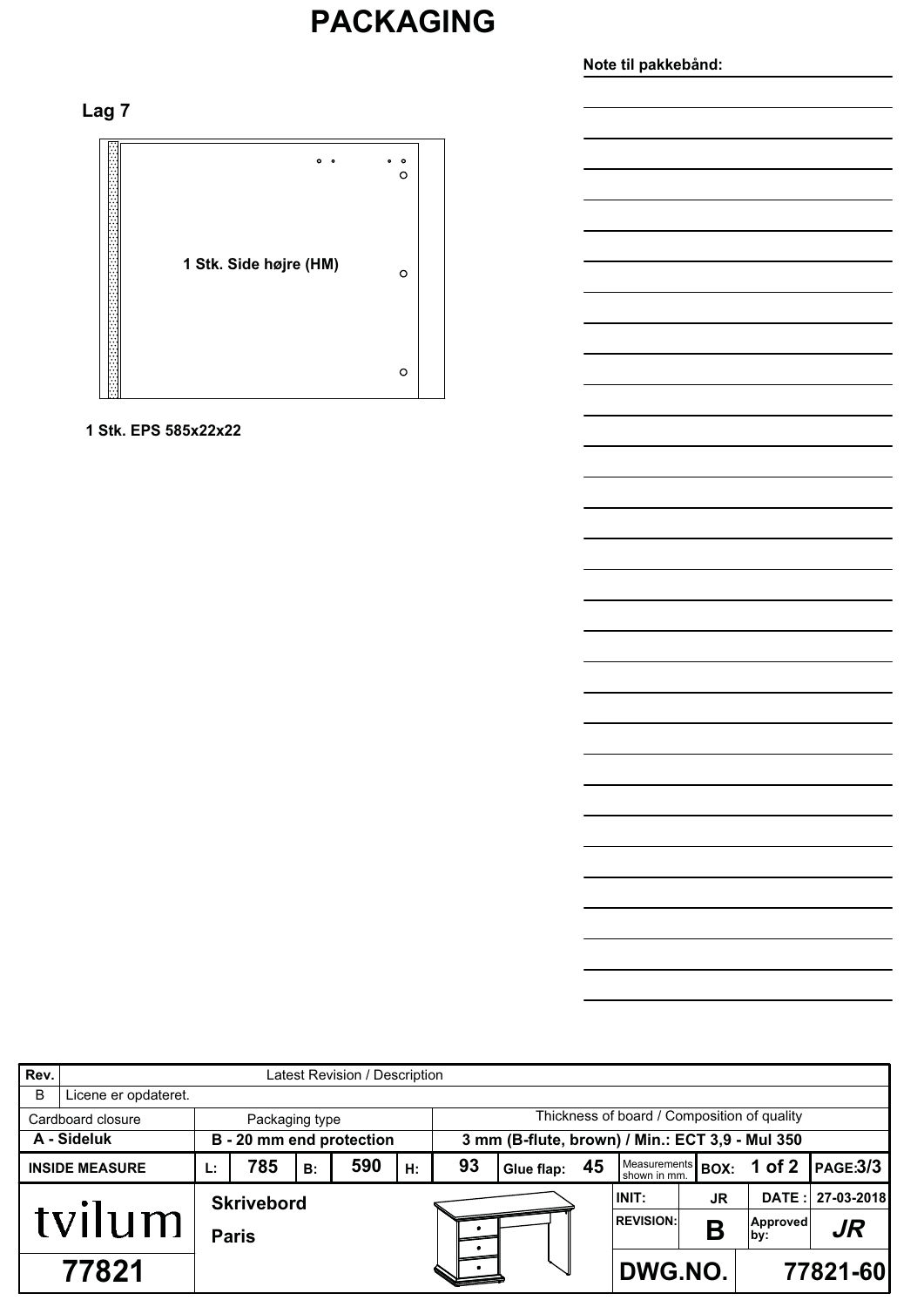# **PACKAGING**

### Note til pakkebånd:

### Lag<sub>7</sub>



#### 1 Stk. EPS 585x22x22

| Rev.        | Latest Revision / Description |              |                   |    |                          |    |                                                 |               |  |                                   |     |                 |                 |  |
|-------------|-------------------------------|--------------|-------------------|----|--------------------------|----|-------------------------------------------------|---------------|--|-----------------------------------|-----|-----------------|-----------------|--|
| B           | Licene er opdateret.          |              |                   |    |                          |    |                                                 |               |  |                                   |     |                 |                 |  |
|             | Cardboard closure             |              | Packaging type    |    |                          |    | Thickness of board / Composition of quality     |               |  |                                   |     |                 |                 |  |
| A - Sideluk |                               |              |                   |    | B - 20 mm end protection |    | 3 mm (B-flute, brown) / Min.: ECT 3,9 - Mul 350 |               |  |                                   |     |                 |                 |  |
|             | <b>INSIDE MEASURE</b>         | Ŀ.           | 785               | B: | 590                      | H: | 93                                              | Glue flap: 45 |  | Measurements BOX:<br>shown in mm. |     | 1 of $2$        | <b>PAGE:3/3</b> |  |
| tvilum      |                               |              | <b>Skrivebord</b> |    |                          |    |                                                 |               |  | INIT:                             | JR. | DATE:           | 27-03-2018      |  |
|             |                               | <b>Paris</b> |                   |    |                          |    |                                                 |               |  | <b>REVISION:</b>                  | R   | Approved<br>by: | $J\!R$          |  |
| 77821       |                               |              |                   |    |                          |    |                                                 |               |  | DWG.NO.                           |     |                 | 77821-60        |  |